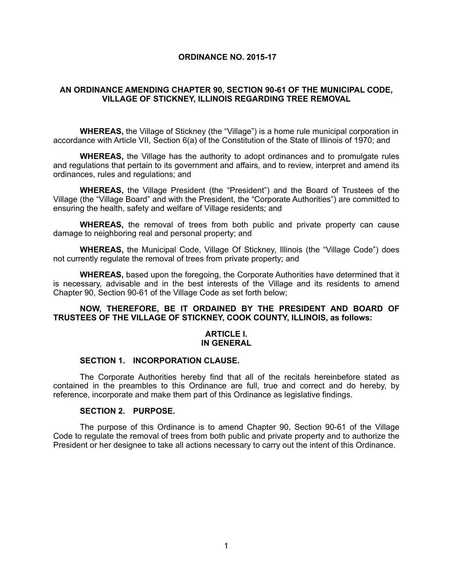# **ORDINANCE NO. 2015-17**

# **AN ORDINANCE AMENDING CHAPTER 90, SECTION 90-61 OF THE MUNICIPAL CODE, VILLAGE OF STICKNEY, ILLINOIS REGARDING TREE REMOVAL**

**WHEREAS,** the Village of Stickney (the "Village") is a home rule municipal corporation in accordance with Article VII, Section 6(a) of the Constitution of the State of Illinois of 1970; and

**WHEREAS,** the Village has the authority to adopt ordinances and to promulgate rules and regulations that pertain to its government and affairs, and to review, interpret and amend its ordinances, rules and regulations; and

**WHEREAS,** the Village President (the "President") and the Board of Trustees of the Village (the "Village Board" and with the President, the "Corporate Authorities") are committed to ensuring the health, safety and welfare of Village residents; and

**WHEREAS,** the removal of trees from both public and private property can cause damage to neighboring real and personal property; and

**WHEREAS,** the Municipal Code, Village Of Stickney, Illinois (the "Village Code") does not currently regulate the removal of trees from private property; and

**WHEREAS,** based upon the foregoing, the Corporate Authorities have determined that it is necessary, advisable and in the best interests of the Village and its residents to amend Chapter 90, Section 90-61 of the Village Code as set forth below;

#### **NOW, THEREFORE, BE IT ORDAINED BY THE PRESIDENT AND BOARD OF TRUSTEES OF THE VILLAGE OF STICKNEY, COOK COUNTY, ILLINOIS, as follows:**

#### **ARTICLE I. IN GENERAL**

#### **SECTION 1. INCORPORATION CLAUSE.**

The Corporate Authorities hereby find that all of the recitals hereinbefore stated as contained in the preambles to this Ordinance are full, true and correct and do hereby, by reference, incorporate and make them part of this Ordinance as legislative findings.

#### **SECTION 2. PURPOSE.**

The purpose of this Ordinance is to amend Chapter 90, Section 90-61 of the Village Code to regulate the removal of trees from both public and private property and to authorize the President or her designee to take all actions necessary to carry out the intent of this Ordinance.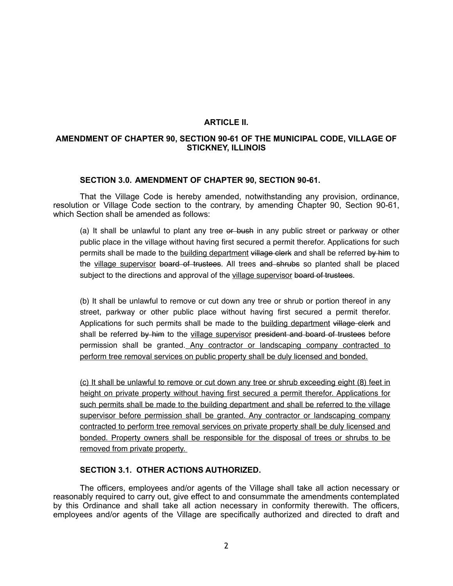# **ARTICLE II.**

# **AMENDMENT OF CHAPTER 90, SECTION 90-61 OF THE MUNICIPAL CODE, VILLAGE OF STICKNEY, ILLINOIS**

# **SECTION 3.0. AMENDMENT OF CHAPTER 90, SECTION 90-61.**

That the Village Code is hereby amended, notwithstanding any provision, ordinance, resolution or Village Code section to the contrary, by amending Chapter 90, Section 90-61, which Section shall be amended as follows:

(a) It shall be unlawful to plant any tree or bush in any public street or parkway or other public place in the village without having first secured a permit therefor. Applications for such permits shall be made to the building department village clerk and shall be referred by him to the village supervisor board of trustees. All trees and shrubs so planted shall be placed subject to the directions and approval of the village supervisor board of trustees.

(b) It shall be unlawful to remove or cut down any tree or shrub or portion thereof in any street, parkway or other public place without having first secured a permit therefor. Applications for such permits shall be made to the building department village clerk and shall be referred by him to the village supervisor president and board of trustees before permission shall be granted. Any contractor or landscaping company contracted to perform tree removal services on public property shall be duly licensed and bonded.

(c) It shall be unlawful to remove or cut down any tree or shrub exceeding eight (8) feet in height on private property without having first secured a permit therefor. Applications for such permits shall be made to the building department and shall be referred to the village supervisor before permission shall be granted. Any contractor or landscaping company contracted to perform tree removal services on private property shall be duly licensed and bonded. Property owners shall be responsible for the disposal of trees or shrubs to be removed from private property.

# **SECTION 3.1. OTHER ACTIONS AUTHORIZED.**

The officers, employees and/or agents of the Village shall take all action necessary or reasonably required to carry out, give effect to and consummate the amendments contemplated by this Ordinance and shall take all action necessary in conformity therewith. The officers, employees and/or agents of the Village are specifically authorized and directed to draft and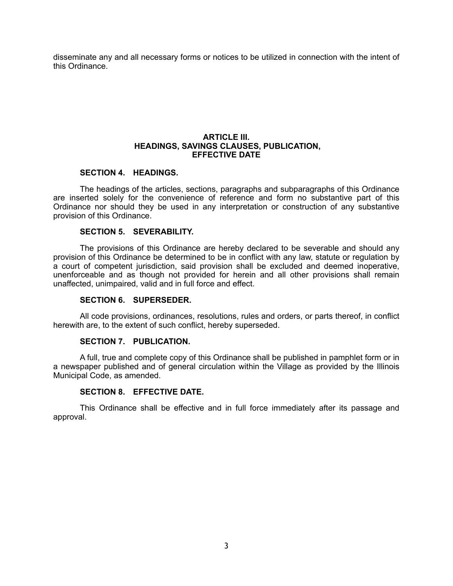disseminate any and all necessary forms or notices to be utilized in connection with the intent of this Ordinance.

#### **ARTICLE III. HEADINGS, SAVINGS CLAUSES, PUBLICATION, EFFECTIVE DATE**

# **SECTION 4. HEADINGS.**

The headings of the articles, sections, paragraphs and subparagraphs of this Ordinance are inserted solely for the convenience of reference and form no substantive part of this Ordinance nor should they be used in any interpretation or construction of any substantive provision of this Ordinance.

# **SECTION 5. SEVERABILITY.**

The provisions of this Ordinance are hereby declared to be severable and should any provision of this Ordinance be determined to be in conflict with any law, statute or regulation by a court of competent jurisdiction, said provision shall be excluded and deemed inoperative, unenforceable and as though not provided for herein and all other provisions shall remain unaffected, unimpaired, valid and in full force and effect.

# **SECTION 6. SUPERSEDER.**

All code provisions, ordinances, resolutions, rules and orders, or parts thereof, in conflict herewith are, to the extent of such conflict, hereby superseded.

#### **SECTION 7. PUBLICATION.**

A full, true and complete copy of this Ordinance shall be published in pamphlet form or in a newspaper published and of general circulation within the Village as provided by the Illinois Municipal Code, as amended.

#### **SECTION 8. EFFECTIVE DATE.**

This Ordinance shall be effective and in full force immediately after its passage and approval.